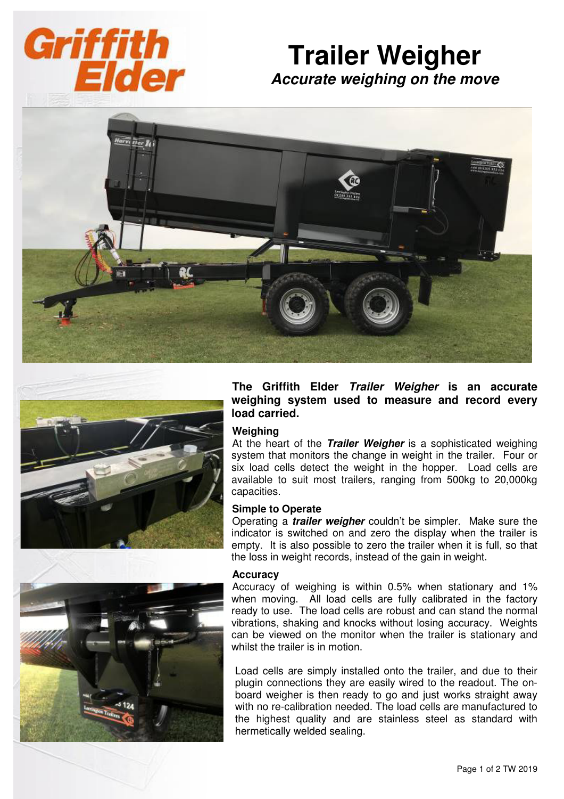

# **Trailer Weigher Accurate weighing on the move**





**The Griffith Elder Trailer Weigher is an accurate weighing system used to measure and record every load carried.** 

### **Weighing**

At the heart of the **Trailer Weigher** is a sophisticated weighing system that monitors the change in weight in the trailer. Four or six load cells detect the weight in the hopper. Load cells are available to suit most trailers, ranging from 500kg to 20,000kg capacities.

#### **Simple to Operate**

Operating a **trailer weigher** couldn't be simpler. Make sure the indicator is switched on and zero the display when the trailer is empty. It is also possible to zero the trailer when it is full, so that the loss in weight records, instead of the gain in weight.

#### **Accuracy**

Accuracy of weighing is within 0.5% when stationary and 1% when moving. All load cells are fully calibrated in the factory ready to use. The load cells are robust and can stand the normal vibrations, shaking and knocks without losing accuracy. Weights can be viewed on the monitor when the trailer is stationary and whilst the trailer is in motion.

Load cells are simply installed onto the trailer, and due to their plugin connections they are easily wired to the readout. The onboard weigher is then ready to go and just works straight away with no re-calibration needed. The load cells are manufactured to the highest quality and are stainless steel as standard with hermetically welded sealing.